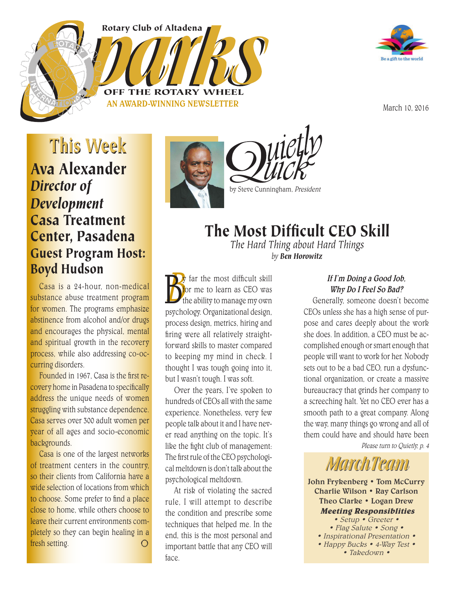Rotary Club of Altadena

AN AWARD-WINNING NEWSLETTER

OFF THE R



March 10, 2016

### This Week Ava Alexander *Director of Development* Casa Treatment Center, Pasadena Guest Program Host: Boyd Hudson

Casa is a 24-hour, non-medical substance abuse treatment program for women. The programs emphasize abstinence from alcohol and/or drugs and encourages the physical, mental and spiritual growth in the recovery process, while also addressing co-occurring disorders.

Founded in 1967. Casa is the first recovery home in Pasadena to specifically address the unique needs of women struggling with substance dependence. Casa serves over 300 adult women per year of all ages and socio-economic backgrounds.

Casa is one of the largest networks of treatment centers in the country, so their clients from California have a wide selection of locations from which to choose. Some prefer to find a place close to home, while others choose to leave their current environments completely so they can begin healing in a fresh setting. $\bigcirc$ 



 $\mathcal{U}$ ietl $\mathcal{V}$ by Steve Cunningham, President

### The Most Difficult CEO Skill

*The Hard Thing about Hard Things by Ben Horowitz*

 $\mathbf{B}^{\prime}_{\text{\tiny{bb}}}$ **B** are the most difficult skill<br>the ability to manage my own<br>psychology. Organizational design, far the most difficult skill for me to learn as CEO was the ability to manage my own process design, metrics, hiring and firing were all relatively straightforward skills to master compared to keeping my mind in check. I thought I was tough going into it, but I wasn't tough. I was soft.

Over the years, I've spoken to hundreds of CEOs all with the same experience. Nonetheless, very few people talk about it and I have never read anything on the topic. It's like the fight club of management: The first rule of the CEO psychological meltdown is don't talk about the psychological meltdown.

At risk of violating the sacred rule, I will attempt to describe the condition and prescribe some techniques that helped me. In the end, this is the most personal and important battle that any CEO will face.

### If I'm Doing a Good Job, Why Do I Feel So Bad?

Generally, someone doesn't become CEOs unless she has a high sense of purpose and cares deeply about the work she does. In addition, a CEO must be accomplished enough or smart enough that people will want to work for her. Nobody sets out to be a bad CEO, run a dysfunctional organization, or create a massive bureaucracy that grinds her company to a screeching halt. Yet no CEO ever has a smooth path to a great company. Along the way, many things go wrong and all of them could have and should have been

Please turn to Quietly, p. 4

# MarchTeam

John Frykenberg • Tom McCurry Charlie Wilson • Ray Carlson Theo Clarke • Logan Drew **Meeting Responsiblities**

• Setup • Greeter • • Flag Salute • Song • • Inspirational Presentation • • Happy Bucks • 4-Way Test • • Takedown •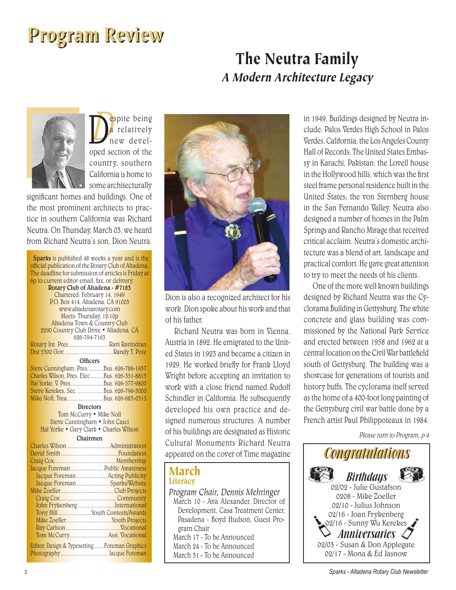# Program Review

### The Neutra Family A Modern Architecture Legacy



D<sub>esi</sub> **D**<br> **a** relatively<br>
new devel-<br>
oped section of the espite being relatively new develcountry, southern California is home to some architecturally

significant homes and buildings. One of the most prominent architects to practice in southern California was Richard Neutra. On Thursday, March 03, we heard from Richard Neutra's son, Dion Neutra.

| <b>Sparks</b> is published 48 weeks a year and is the |
|-------------------------------------------------------|
| official publication of the Rotary Club of Altadena.  |
| The deadline for submission of articles is Friday at  |
| 6p to current editor email, fax, or delivery.         |
| Rotary Club of Altadena - #7183                       |
| Chartered: February 14, 1949                          |
| P.O. Box 414. Altadena, CA 91003                      |
| www.altadenarotary.com                                |
| Meets: Thursday, 12:10p                               |
| Altadena Town & Country Club                          |
| 2290 Country Club Drive . Altadena, CA                |
| 626-794-7163                                          |
| Rotary Int. Pres. Ravi Ravindran                      |
|                                                       |
| Officers                                              |
| Steve Cunningham, Pres.  Bus. 626-786-1937            |
| Charles Wilson, Pres. Elec  Bus. 626-351-8815         |
|                                                       |
| Steve Kerekes, Sec. Bus. 626-796-5000                 |
|                                                       |
| <b>Directors</b>                                      |
| Tom McCurry . Mike Noll                               |
| Steve Cunningham · John Casci                         |
| Hal Yorke · Gary Clark · Charles Wilson               |
| Chairmen                                              |
|                                                       |
|                                                       |
|                                                       |
| Jacque Foreman  Public Awareness                      |
| Jacque Foreman  Acting Publicity                      |
|                                                       |
| Jacque Foreman  Sparks/Website                        |
|                                                       |
|                                                       |
| John Frykenberg International                         |
|                                                       |
|                                                       |
|                                                       |
| Tom McCurry Asst. Vocational                          |
| Editor, Design & Typesetting Foreman Graphics         |
|                                                       |



Dion is also a recognized architect for his work. Dion spoke about his work and that of his father.

Richard Neutra was born in Vienna, Austria in 1892. He emigrated to the United States in 1923 and became a citizen in 1929. He worked briefly for Frank Lloyd Wright before accepting an invitation to work with a close friend named Rudolf Schindler in California. He subsequently developed his own practice and designed numerous structures. A number of his buildings are designated as Historic Cultural Monuments Richard Neutra appeared on the cover of Time magazine

### March **Literacy**

*Program Chair, Dennis Mehringer* March 10 - Ava Alexander, Director of Development, Casa Treatment Center, Pasadena - Boyd Hudson, Guest Program Chair March 17 - To be Announced March 24 - To be Announced

March 31 - To be Announced

in 1949. Buildings designed by Neutra include: Palos Verdes High School in Palos Verdes, California; the Los Angeles County Hall of Records; The United States Embassy in Karachi, Pakistan; the Lovell house in the Hollywood hills, which was the first steel frame personal residence built in the United States; the von Sternberg house in the San Fernando Valley. Neutra also designed a number of homes in the Palm Springs and Rancho Mirage that received critical acclaim. Neutra's domestic architecture was a blend of art, landscape and practical comfort. He gave great attention to try to meet the needs of his clients.

One of the more well known buildings designed by Richard Neutra was the Cyclorama Building in Gettysburg. The white concrete and glass building was commissioned by the National Park Service and erected between 1958 and 1962 at a central location on the Civil War battlefield south of Gettysburg. The building was a showcase for generations of tourists and history buffs. The cyclorama itself served as the home of a 400-foot long painting of the Gettysburg civil war battle done by a French artist Paul Philippoteaux in 1984.

Please turn to Program, p.4

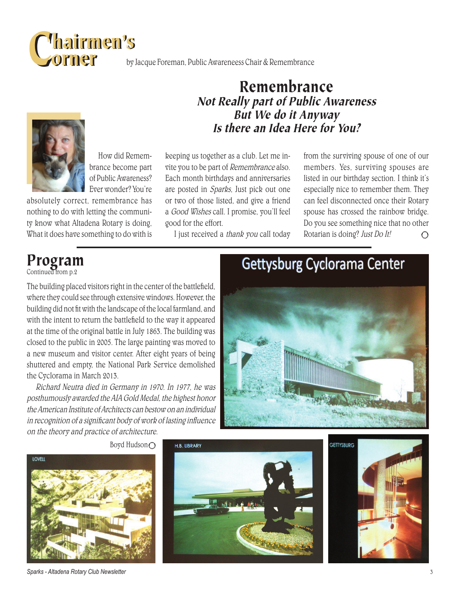

by Jacque Foreman, Public Awareneess Chair & Remembrance

Remembrance

Not Really part of Public Awareness But We do it Anyway Is there an Idea Here for You?

How did Remembrance become part of Public Awareness? Ever wonder? You're

absolutely correct, remembrance has nothing to do with letting the community know what Altadena Rotary is doing, What it does have something to do with is

keeping us together as a club. Let me invite you to be part of Remembrance also. Each month birthdays and anniversaries are posted in Sparks, Just pick out one or two of those listed, and give a friend a Good Wishes call. I promise, you'll feel good for the effort.

I just received a thank you call today

from the surviving spouse of one of our members. Yes, surviving spouses are listed in our birthday section. I think it's especially nice to remember them. They can feel disconnected once their Rotary spouse has crossed the rainbow bridge. Do you see something nice that no other Rotarian is doing? Just Do It! $\bigcirc$ 

# Program

Continued from p.2

The building placed visitors right in the center of the battlefield, where they could see through extensive windows. However, the building did not fit with the landscape of the local farmland, and with the intent to return the battlefield to the way it appeared at the time of the original battle in July 1863. The building was closed to the public in 2005. The large painting was moved to a new museum and visitor center. After eight years of being shuttered and empty, the National Park Service demolished the Cyclorama in March 2013.

Richard Neutra died in Germany in 1970. In 1977, he was posthumously awarded the AIA Gold Medal, the highest honor the American Institute of Architects can bestow on an individual in recognition of a significant body of work of lasting influence on the theory and practice of architecture.

# Gettysburg Cyclorama Center







Boyd Hudson○



*Sparks - Altadena Rotary Club Newsletter* 3